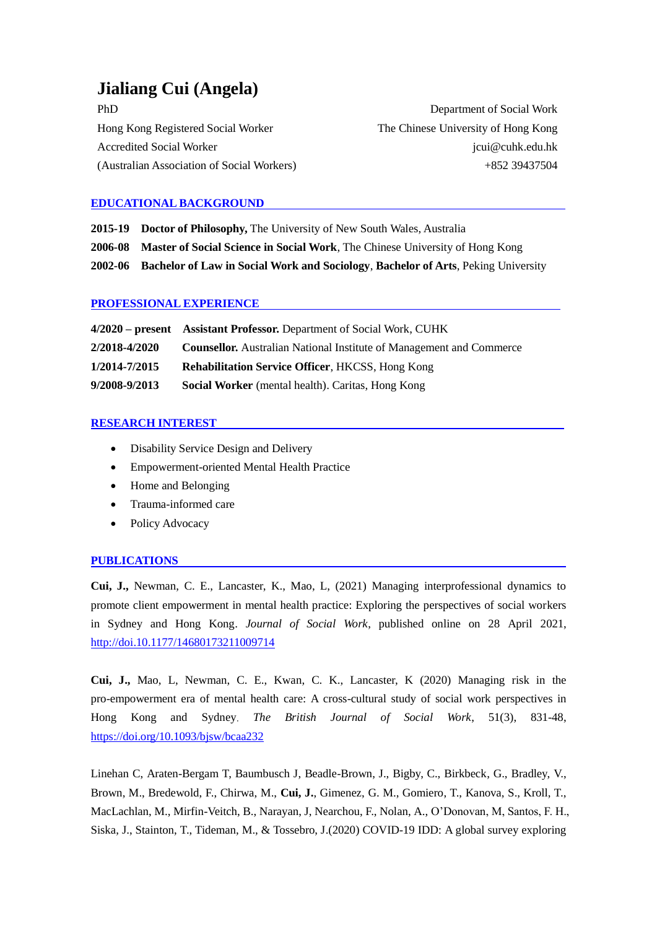# **Jialiang Cui (Angela)**

| <b>PhD</b>                                 |
|--------------------------------------------|
| Hong Kong Registered Social Worker         |
| <b>Accredited Social Worker</b>            |
| (Australian Association of Social Workers) |

Department of Social Work The Chinese University of Hong Kong jcui@cuhk.edu.hk +852 39437504

# **EDUCATIONAL BACKGROUND**

|  | 2015-19 Doctor of Philosophy, The University of New South Wales, Australia |  |  |  |
|--|----------------------------------------------------------------------------|--|--|--|
|--|----------------------------------------------------------------------------|--|--|--|

**2006-08 Master of Social Science in Social Work**, The Chinese University of Hong Kong

**2002-06 Bachelor of Law in Social Work and Sociology**, **Bachelor of Arts**, Peking University

## **PROFESSIONAL EXPERIENCE**

|               | 4/2020 – present Assistant Professor. Department of Social Work, CUHK       |
|---------------|-----------------------------------------------------------------------------|
| 2/2018-4/2020 | <b>Counsellor.</b> Australian National Institute of Management and Commerce |
| 1/2014-7/2015 | Rehabilitation Service Officer, HKCSS, Hong Kong                            |
| 9/2008-9/2013 | <b>Social Worker</b> (mental health). Caritas, Hong Kong                    |

## **RESEARCH INTEREST**

- Disability Service Design and Delivery
- Empowerment-oriented Mental Health Practice
- Home and Belonging
- Trauma-informed care
- Policy Advocacy

# **PUBLICATIONS**

**Cui, J.,** Newman, C. E., Lancaster, K., Mao, L, (2021) Managing interprofessional dynamics to promote client empowerment in mental health practice: Exploring the perspectives of social workers in Sydney and Hong Kong. *Journal of Social Work*, published online on 28 April 2021, http://doi[.10.1177/14680173211009714](https://doi.org/10.1177/14680173211009714)

**Cui, J.,** Mao, L, Newman, C. E., Kwan, C. K., Lancaster, K (2020) Managing risk in the pro-empowerment era of mental health care: A cross-cultural study of social work perspectives in Hong Kong and Sydney. *The British Journal of Social Work*, 51(3), 831-48, <https://doi.org/10.1093/bjsw/bcaa232>

Linehan C, Araten-Bergam T, Baumbusch J, Beadle-Brown, J., Bigby, C., Birkbeck, G., Bradley, V., Brown, M., Bredewold, F., Chirwa, M., **Cui, J.**, Gimenez, G. M., Gomiero, T., Kanova, S., Kroll, T., MacLachlan, M., Mirfin-Veitch, B., Narayan, J, Nearchou, F., Nolan, A., O'Donovan, M, Santos, F. H., Siska, J., Stainton, T., Tideman, M., & Tossebro, J.(2020) COVID-19 IDD: A global survey exploring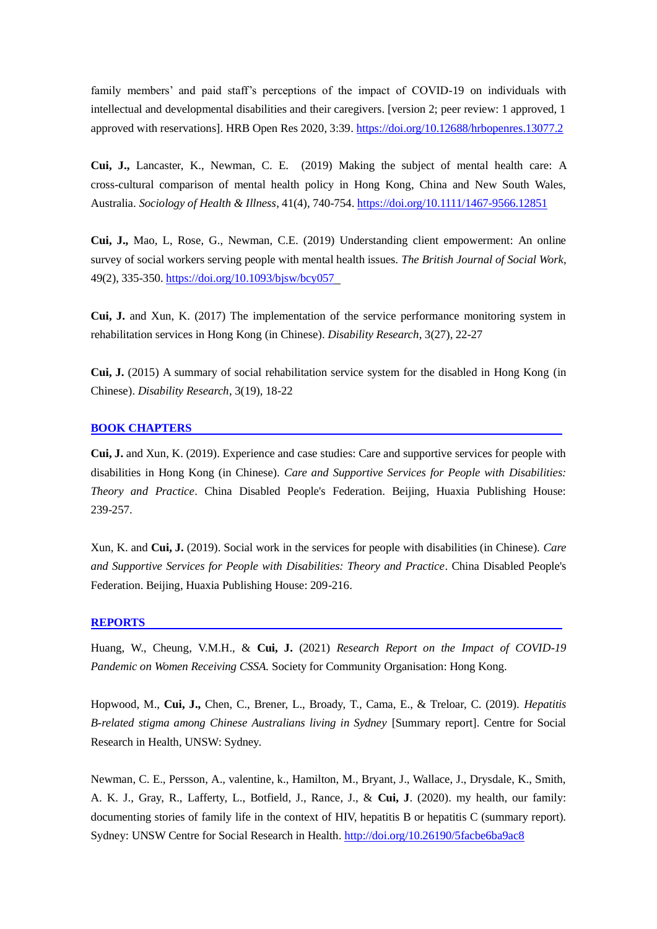family members' and paid staff's perceptions of the impact of COVID-19 on individuals with intellectual and developmental disabilities and their caregivers. [version 2; peer review: 1 approved, 1 approved with reservations]. HRB Open Res 2020, 3:39. <https://doi.org/10.12688/hrbopenres.13077.2>

**Cui, J.,** Lancaster, K., Newman, C. E. (2019) Making the subject of mental health care: A cross-cultural comparison of mental health policy in Hong Kong, China and New South Wales, Australia. *Sociology of Health & Illness,* 41(4), 740-754. https://doi.org[/10.1111/1467-9566.12851](https://doi.org/10.1111/1467-9566.12851)

**Cui, J.,** Mao, L, Rose, G., Newman, C.E. (2019) Understanding client empowerment: An online survey of social workers serving people with mental health issues. *The British Journal of Social Work*, 49(2), 335-350[. https://doi.org/10.1093/bjsw/bcy057](https://doi.org/10.1093/bjsw/bcy057)

**Cui, J.** and Xun, K. (2017) The implementation of the service performance monitoring system in rehabilitation services in Hong Kong (in Chinese). *Disability Research*, 3(27), 22-27

**Cui, J.** (2015) A summary of social rehabilitation service system for the disabled in Hong Kong (in Chinese). *Disability Research*, 3(19), 18-22

#### **BOOK CHAPTERS**

**Cui, J.** and Xun, K. (2019). Experience and case studies: Care and supportive services for people with disabilities in Hong Kong (in Chinese). *Care and Supportive Services for People with Disabilities: Theory and Practice*. China Disabled People's Federation. Beijing, Huaxia Publishing House: 239-257.

Xun, K. and **Cui, J.** (2019). Social work in the services for people with disabilities (in Chinese). *Care and Supportive Services for People with Disabilities: Theory and Practice*. China Disabled People's Federation. Beijing, Huaxia Publishing House: 209-216.

#### **REPORTS**

Huang, W., Cheung, V.M.H., & **Cui, J.** (2021) *Research Report on the Impact of COVID-19 Pandemic on Women Receiving CSSA.* Society for Community Organisation: Hong Kong.

Hopwood, M., **Cui, J.,** Chen, C., Brener, L., Broady, T., Cama, E., & Treloar, C. (2019). *Hepatitis B-related stigma among Chinese Australians living in Sydney* [Summary report]. Centre for Social Research in Health, UNSW: Sydney.

Newman, C. E., Persson, A., valentine, k., Hamilton, M., Bryant, J., Wallace, J., Drysdale, K., Smith, A. K. J., Gray, R., Lafferty, L., Botfield, J., Rance, J., & **Cui, J**. (2020). my health, our family: documenting stories of family life in the context of HIV, hepatitis B or hepatitis C (summary report). Sydney: UNSW Centre for Social Research in Health.<http://doi.org/10.26190/5facbe6ba9ac8>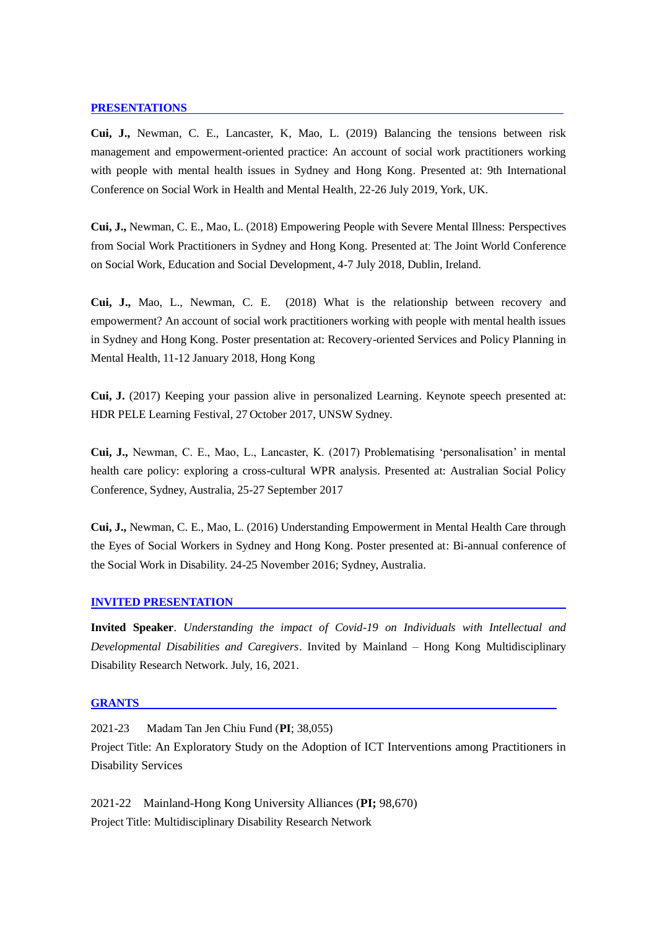#### **PRESENTATIONS**

**Cui, J.,** Newman, C. E., Lancaster, K, Mao, L. (2019) Balancing the tensions between risk management and empowerment-oriented practice: An account of social work practitioners working with people with mental health issues in Sydney and Hong Kong. Presented at: 9th International Conference on Social Work in Health and Mental Health, 22-26 July 2019, York, UK.

**Cui, J.,** Newman, C. E., Mao, L. (2018) Empowering People with Severe Mental Illness: Perspectives from Social Work Practitioners in Sydney and Hong Kong. Presented at: The Joint World Conference on Social Work, Education and Social Development, 4-7 July 2018, Dublin, Ireland.

**Cui, J.,** Mao, L., Newman, C. E. (2018) What is the relationship between recovery and empowerment? An account of social work practitioners working with people with mental health issues in Sydney and Hong Kong. Poster presentation at: Recovery-oriented Services and Policy Planning in Mental Health, 11-12 January 2018, Hong Kong

**Cui, J.** (2017) Keeping your passion alive in personalized Learning. Keynote speech presented at: HDR PELE Learning Festival, 27 October 2017, UNSW Sydney.

**Cui, J.,** Newman, C. E., Mao, L., Lancaster, K. (2017) Problematising 'personalisation' in mental health care policy: exploring a cross-cultural WPR analysis. Presented at: Australian Social Policy Conference, Sydney, Australia, 25-27 September 2017

**Cui, J.,** Newman, C. E., Mao, L. (2016) Understanding Empowerment in Mental Health Care through the Eyes of Social Workers in Sydney and Hong Kong. Poster presented at: Bi-annual conference of the Social Work in Disability. 24-25 November 2016; Sydney, Australia.

## **INVITED PRESENTATION**

**Invited Speaker**. *Understanding the impact of Covid-19 on Individuals with Intellectual and Developmental Disabilities and Caregivers*. Invited by Mainland – Hong Kong Multidisciplinary Disability Research Network. July, 16, 2021.

#### **GRANTS**

2021-23 Madam Tan Jen Chiu Fund (**PI**; 38,055)

Project Title: An Exploratory Study on the Adoption of ICT Interventions among Practitioners in Disability Services

2021-22 Mainland-Hong Kong University Alliances (**PI;** 98,670) Project Title: Multidisciplinary Disability Research Network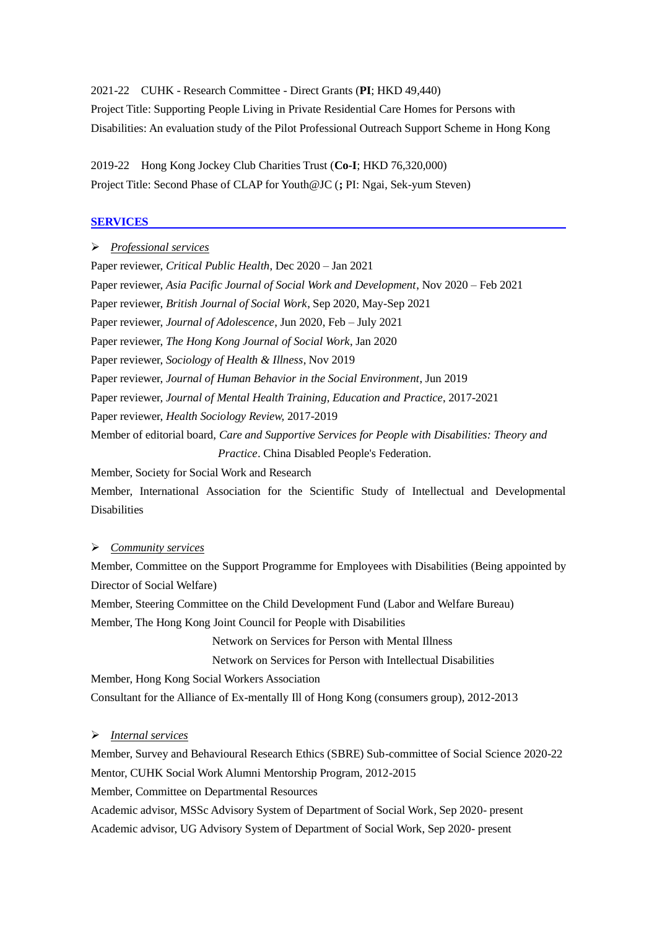2021-22 CUHK - Research Committee - Direct Grants (**PI**; HKD 49,440) Project Title: Supporting People Living in Private Residential Care Homes for Persons with Disabilities: An evaluation study of the Pilot Professional Outreach Support Scheme in Hong Kong

2019-22 Hong Kong Jockey Club Charities Trust (**Co-I**; HKD 76,320,000) Project Title: Second Phase of CLAP for Youth@JC (**;** PI: Ngai, Sek-yum Steven)

## **SERVICES**

➢ *Professional services* Paper reviewer, *Critical Public Health*, Dec 2020 – Jan 2021 Paper reviewer, *Asia Pacific Journal of Social Work and Development*, Nov 2020 – Feb 2021 Paper reviewer, *British Journal of Social Work*, Sep 2020, May-Sep 2021 Paper reviewer, *Journal of Adolescence*, Jun 2020, Feb – July 2021 Paper reviewer, *The Hong Kong Journal of Social Work*, Jan 2020 Paper reviewer, *Sociology of Health & Illness*, Nov 2019 Paper reviewer, *Journal of Human Behavior in the Social Environment*, Jun 2019 Paper reviewer, *Journal of Mental Health Training, Education and Practice*, 2017-2021 Paper reviewer, *Health Sociology Review,* 2017-2019 Member of editorial board, *Care and Supportive Services for People with Disabilities: Theory and Practice*. China Disabled People's Federation. Member, Society for Social Work and Research Member, International Association for the Scientific Study of Intellectual and Developmental Disabilities

# ➢ *Community services*

Member, Committee on the Support Programme for Employees with Disabilities (Being appointed by Director of Social Welfare)

Member, Steering Committee on the Child Development Fund (Labor and Welfare Bureau) Member, The Hong Kong Joint Council for People with Disabilities

Network on Services for Person with Mental Illness

Network on Services for Person with Intellectual Disabilities

Member, Hong Kong Social Workers Association

Consultant for the Alliance of Ex-mentally Ill of Hong Kong (consumers group), 2012-2013

## ➢ *Internal services*

Member, Survey and Behavioural Research Ethics (SBRE) Sub-committee of Social Science 2020-22 Mentor, CUHK Social Work Alumni Mentorship Program, 2012-2015

Member, Committee on Departmental Resources

Academic advisor, MSSc Advisory System of Department of Social Work, Sep 2020- present Academic advisor, UG Advisory System of Department of Social Work, Sep 2020- present